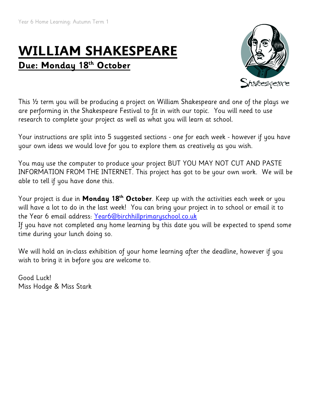# **WILLIAM SHAKESPEARE Due: Monday 18th October**



This ½ term you will be producing a project on William Shakespeare and one of the plays we are performing in the Shakespeare Festival to fit in with our topic. You will need to use research to complete your project as well as what you will learn at school.

Your instructions are split into 5 suggested sections - one for each week - however if you have your own ideas we would love for you to explore them as creatively as you wish.

You may use the computer to produce your project BUT YOU MAY NOT CUT AND PASTE INFORMATION FROM THE INTERNET. This project has got to be your own work. We will be able to tell if you have done this.

Your project is due in **Monday 18th October**. Keep up with the activities each week or you will have a lot to do in the last week! You can bring your project in to school or email it to the Year 6 email address: [Year6@birchhillprimaryschool.co.uk](mailto:Year6@birchhillprimaryschool.co.uk) If you have not completed any home learning by this date you will be expected to spend some time during your lunch doing so.

We will hold an in-class exhibition of your home learning after the deadline, however if you wish to bring it in before you are welcome to.

Good Luck! Miss Hodge & Miss Stark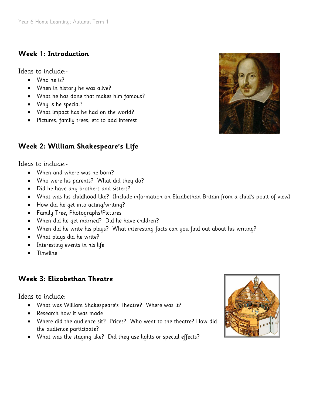## **Week 1: Introduction**

Ideas to include:-

- Who he is?
- When in history he was alive?
- What he has done that makes him famous?
- Why is he special?
- What impact has he had on the world?
- Pictures, family trees, etc to add interest

## **Week 2: William Shakespeare's Life**

Ideas to include:-

- When and where was he born?
- Who were his parents? What did they do?
- Did he have any brothers and sisters?
- What was his childhood like? (Include information on Elizabethan Britain from a child's point of view)
- How did he get into acting/writing?
- Family Tree, Photographs/Pictures
- When did he get married? Did he have children?
- When did he write his plays? What interesting facts can you find out about his writing?
- What plays did he write?
- Interesting events in his life
- Timeline

## **Week 3: Elizabethan Theatre**

Ideas to include:

- What was William Shakespeare's Theatre? Where was it?
- Research how it was made
- Where did the audience sit? Prices? Who went to the theatre? How did the audience participate?
- What was the staging like? Did they use lights or special effects?